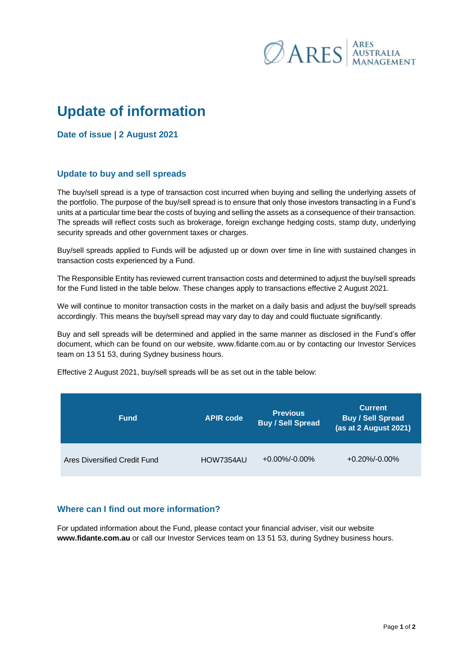

## **Update of information**

**Date of issue | 2 August 2021**

## **Update to buy and sell spreads**

The buy/sell spread is a type of transaction cost incurred when buying and selling the underlying assets of the portfolio. The purpose of the buy/sell spread is to ensure that only those investors transacting in a Fund's units at a particular time bear the costs of buying and selling the assets as a consequence of their transaction. The spreads will reflect costs such as brokerage, foreign exchange hedging costs, stamp duty, underlying security spreads and other government taxes or charges.

Buy/sell spreads applied to Funds will be adjusted up or down over time in line with sustained changes in transaction costs experienced by a Fund.

The Responsible Entity has reviewed current transaction costs and determined to adjust the buy/sell spreads for the Fund listed in the table below. These changes apply to transactions effective 2 August 2021.

We will continue to monitor transaction costs in the market on a daily basis and adjust the buy/sell spreads accordingly. This means the buy/sell spread may vary day to day and could fluctuate significantly.

Buy and sell spreads will be determined and applied in the same manner as disclosed in the Fund's offer document, which can be found on our website, [www.fidante.com.au](http://www.fidante.com.au/) or by contacting our Investor Services team on 13 51 53, during Sydney business hours.

**Fund APIR code Previous Buy / Sell Spread Current Buy / Sell Spread (as at 2 August 2021)**

Effective 2 August 2021, buy/sell spreads will be as set out in the table below:

## **Where can I find out more information?**

For updated information about the Fund, please contact your financial adviser, visit our website **www.fidante.com.au** or call our Investor Services team on 13 51 53, during Sydney business hours.

Ares Diversified Credit Fund HOW7354AU +0.00%/-0.00% +0.20%/-0.00%